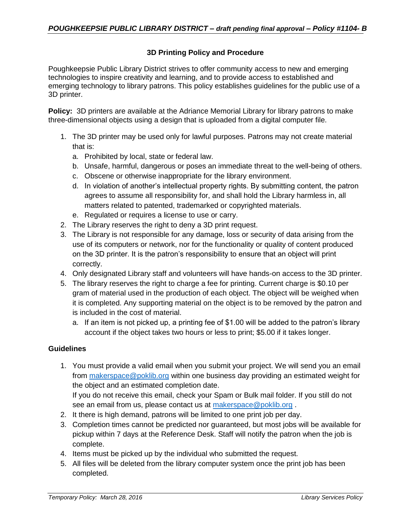# **3D Printing Policy and Procedure**

Poughkeepsie Public Library District strives to offer community access to new and emerging technologies to inspire creativity and learning, and to provide access to established and emerging technology to library patrons. This policy establishes guidelines for the public use of a 3D printer.

**Policy:** 3D printers are available at the Adriance Memorial Library for library patrons to make three-dimensional objects using a design that is uploaded from a digital computer file.

- 1. The 3D printer may be used only for lawful purposes. Patrons may not create material that is:
	- a. Prohibited by local, state or federal law.
	- b. Unsafe, harmful, dangerous or poses an immediate threat to the well-being of others.
	- c. Obscene or otherwise inappropriate for the library environment.
	- d. In violation of another's intellectual property rights. By submitting content, the patron agrees to assume all responsibility for, and shall hold the Library harmless in, all matters related to patented, trademarked or copyrighted materials.
	- e. Regulated or requires a license to use or carry.
- 2. The Library reserves the right to deny a 3D print request.
- 3. The Library is not responsible for any damage, loss or security of data arising from the use of its computers or network, nor for the functionality or quality of content produced on the 3D printer. It is the patron's responsibility to ensure that an object will print correctly.
- 4. Only designated Library staff and volunteers will have hands-on access to the 3D printer.
- 5. The library reserves the right to charge a fee for printing. Current charge is \$0.10 per gram of material used in the production of each object. The object will be weighed when it is completed. Any supporting material on the object is to be removed by the patron and is included in the cost of material.
	- a. If an item is not picked up, a printing fee of \$1.00 will be added to the patron's library account if the object takes two hours or less to print; \$5.00 if it takes longer.

### **Guidelines**

1. You must provide a valid email when you submit your project. We will send you an email from [makerspace@poklib.org](mailto:makerspace@poklib.org) within one business day providing an estimated weight for the object and an estimated completion date.

If you do not receive this email, check your Spam or Bulk mail folder. If you still do not see an email from us, please contact us at [makerspace@poklib.org](mailto:makerspace@poklib.org) .

- 2. It there is high demand, patrons will be limited to one print job per day.
- 3. Completion times cannot be predicted nor guaranteed, but most jobs will be available for pickup within 7 days at the Reference Desk. Staff will notify the patron when the job is complete.
- 4. Items must be picked up by the individual who submitted the request.
- 5. All files will be deleted from the library computer system once the print job has been completed.